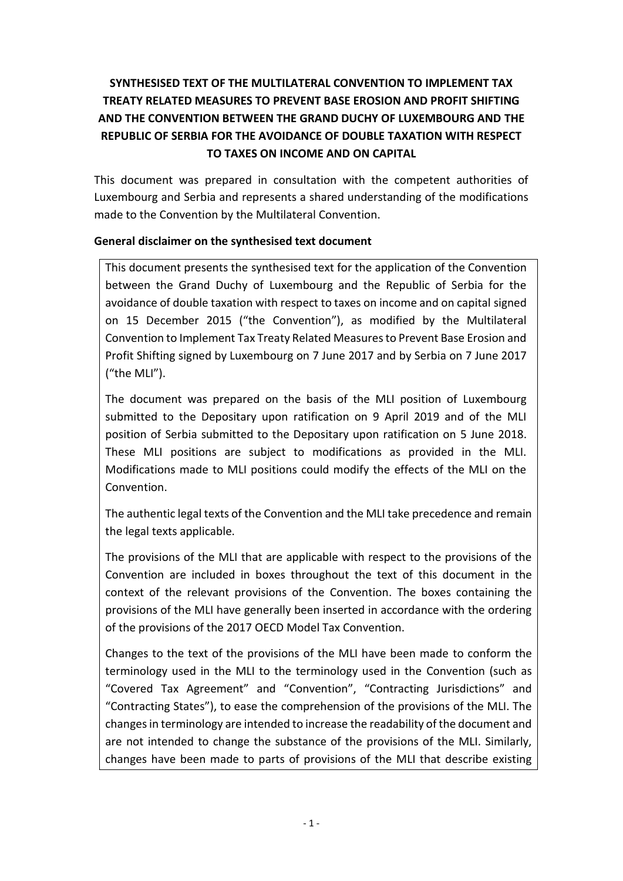# **SYNTHESISED TEXT OF THE MULTILATERAL CONVENTION TO IMPLEMENT TAX TREATY RELATED MEASURES TO PREVENT BASE EROSION AND PROFIT SHIFTING AND THE CONVENTION BETWEEN THE GRAND DUCHY OF LUXEMBOURG AND THE REPUBLIC OF SERBIA FOR THE AVOIDANCE OF DOUBLE TAXATION WITH RESPECT TO TAXES ON INCOME AND ON CAPITAL**

This document was prepared in consultation with the competent authorities of Luxembourg and Serbia and represents a shared understanding of the modifications made to the Convention by the Multilateral Convention.

# **General disclaimer on the synthesised text document**

This document presents the synthesised text for the application of the Convention between the Grand Duchy of Luxembourg and the Republic of Serbia for the avoidance of double taxation with respect to taxes on income and on capital signed on 15 December 2015 ("the Convention"), as modified by the Multilateral Convention to Implement Tax Treaty Related Measures to Prevent Base Erosion and Profit Shifting signed by Luxembourg on 7 June 2017 and by Serbia on 7 June 2017 ("the MLI").

The document was prepared on the basis of the MLI position of Luxembourg submitted to the Depositary upon ratification on 9 April 2019 and of the MLI position of Serbia submitted to the Depositary upon ratification on 5 June 2018. These MLI positions are subject to modifications as provided in the MLI. Modifications made to MLI positions could modify the effects of the MLI on the Convention.

The authentic legal texts of the Convention and the MLI take precedence and remain the legal texts applicable.

The provisions of the MLI that are applicable with respect to the provisions of the Convention are included in boxes throughout the text of this document in the context of the relevant provisions of the Convention. The boxes containing the provisions of the MLI have generally been inserted in accordance with the ordering of the provisions of the 2017 OECD Model Tax Convention.

Changes to the text of the provisions of the MLI have been made to conform the terminology used in the MLI to the terminology used in the Convention (such as "Covered Tax Agreement" and "Convention", "Contracting Jurisdictions" and "Contracting States"), to ease the comprehension of the provisions of the MLI. The changes in terminology are intended to increase the readability of the document and are not intended to change the substance of the provisions of the MLI. Similarly, changes have been made to parts of provisions of the MLI that describe existing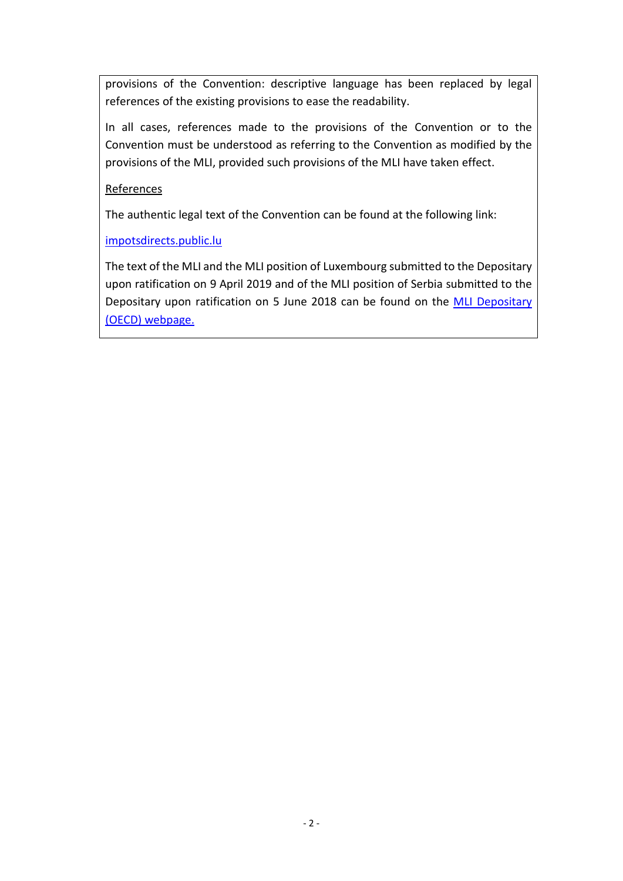provisions of the Convention: descriptive language has been replaced by legal references of the existing provisions to ease the readability.

In all cases, references made to the provisions of the Convention or to the Convention must be understood as referring to the Convention as modified by the provisions of the MLI, provided such provisions of the MLI have taken effect.

# **References**

The authentic legal text of the Convention can be found at the following link:

[impotsdirects.public.lu](https://impotsdirects.public.lu/fr.html)

The text of the MLI and the MLI position of Luxembourg submitted to the Depositary upon ratification on 9 April 2019 and of the MLI position of Serbia submitted to the Depositary upon ratification on 5 June 2018 can be found on the MLI Depositary [\(OECD\) webpage.](https://www.oecd.org/tax/treaties/multilateral-convention-to-implement-tax-treaty-related-measures-to-prevent-beps.htm)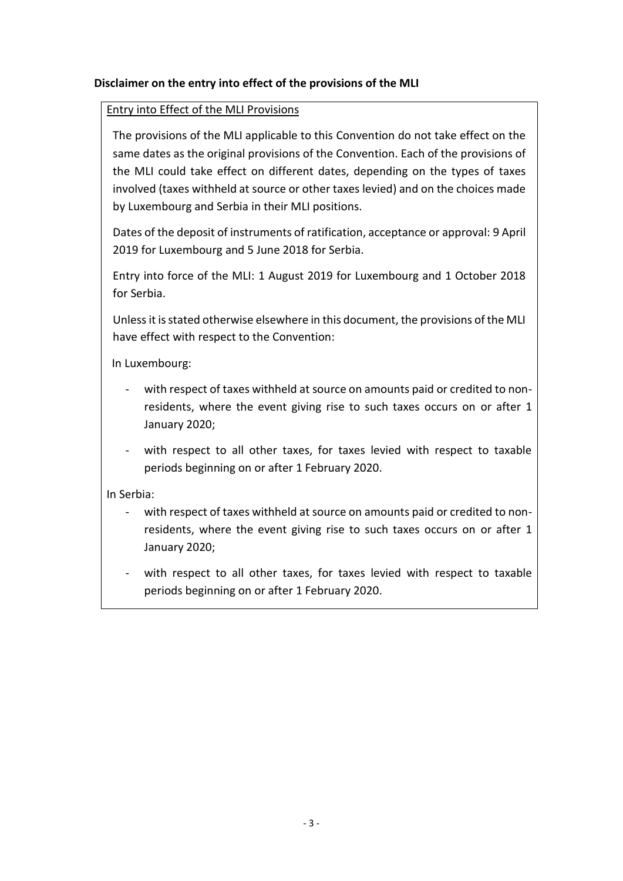# **Disclaimer on the entry into effect of the provisions of the MLI**

# Entry into Effect of the MLI Provisions

The provisions of the MLI applicable to this Convention do not take effect on the same dates as the original provisions of the Convention. Each of the provisions of the MLI could take effect on different dates, depending on the types of taxes involved (taxes withheld at source or other taxes levied) and on the choices made by Luxembourg and Serbia in their MLI positions.

Dates of the deposit of instruments of ratification, acceptance or approval: 9 April 2019 for Luxembourg and 5 June 2018 for Serbia.

Entry into force of the MLI: 1 August 2019 for Luxembourg and 1 October 2018 for Serbia.

Unless it is stated otherwise elsewhere in this document, the provisions of the MLI have effect with respect to the Convention:

In Luxembourg:

- with respect of taxes withheld at source on amounts paid or credited to nonresidents, where the event giving rise to such taxes occurs on or after 1 January 2020;
- with respect to all other taxes, for taxes levied with respect to taxable periods beginning on or after 1 February 2020.

In Serbia:

- with respect of taxes withheld at source on amounts paid or credited to nonresidents, where the event giving rise to such taxes occurs on or after 1 January 2020;
- with respect to all other taxes, for taxes levied with respect to taxable periods beginning on or after 1 February 2020.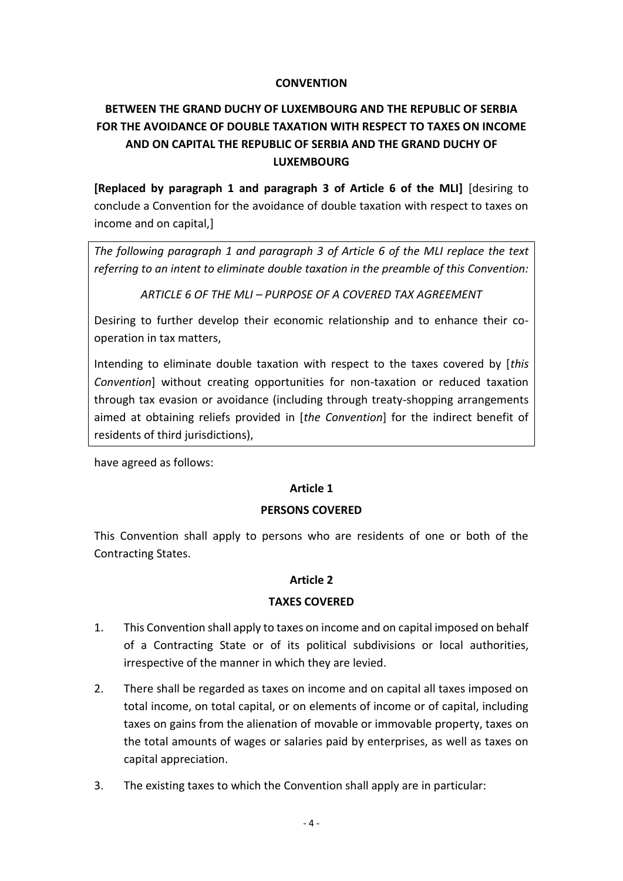#### **CONVENTION**

# **BETWEEN THE GRAND DUCHY OF LUXEMBOURG AND THE REPUBLIC OF SERBIA FOR THE AVOIDANCE OF DOUBLE TAXATION WITH RESPECT TO TAXES ON INCOME AND ON CAPITAL THE REPUBLIC OF SERBIA AND THE GRAND DUCHY OF LUXEMBOURG**

**[Replaced by paragraph 1 and paragraph 3 of Article 6 of the MLI]** [desiring to conclude a Convention for the avoidance of double taxation with respect to taxes on income and on capital,]

*The following paragraph 1 and paragraph 3 of Article 6 of the MLI replace the text referring to an intent to eliminate double taxation in the preamble of this Convention:*

*ARTICLE 6 OF THE MLI – PURPOSE OF A COVERED TAX AGREEMENT*

Desiring to further develop their economic relationship and to enhance their cooperation in tax matters,

Intending to eliminate double taxation with respect to the taxes covered by [*this Convention*] without creating opportunities for non-taxation or reduced taxation through tax evasion or avoidance (including through treaty-shopping arrangements aimed at obtaining reliefs provided in [*the Convention*] for the indirect benefit of residents of third jurisdictions),

have agreed as follows:

# **Article 1**

# **PERSONS COVERED**

This Convention shall apply to persons who are residents of one or both of the Contracting States.

# **Article 2**

# **TAXES COVERED**

- 1. This Convention shall apply to taxes on income and on capital imposed on behalf of a Contracting State or of its political subdivisions or local authorities, irrespective of the manner in which they are levied.
- 2. There shall be regarded as taxes on income and on capital all taxes imposed on total income, on total capital, or on elements of income or of capital, including taxes on gains from the alienation of movable or immovable property, taxes on the total amounts of wages or salaries paid by enterprises, as well as taxes on capital appreciation.
- 3. The existing taxes to which the Convention shall apply are in particular: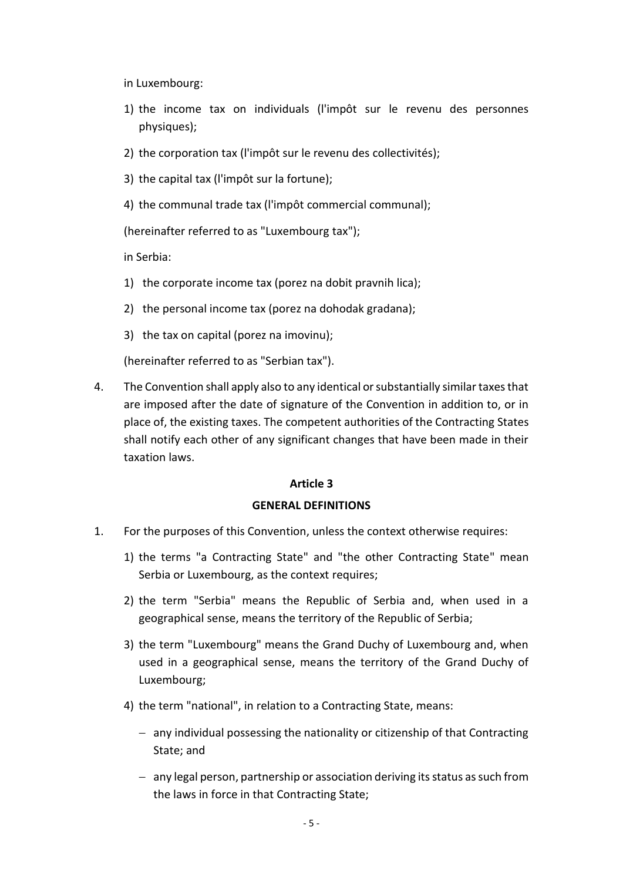in Luxembourg:

- 1) the income tax on individuals (l'impôt sur le revenu des personnes physiques);
- 2) the corporation tax (l'impôt sur le revenu des collectivités);
- 3) the capital tax (l'impôt sur la fortune);
- 4) the communal trade tax (l'impôt commercial communal);

(hereinafter referred to as "Luxembourg tax");

in Serbia:

- 1) the corporate income tax (porez na dobit pravnih lica);
- 2) the personal income tax (porez na dohodak gradana);
- 3) the tax on capital (porez na imovinu);

(hereinafter referred to as "Serbian tax").

4. The Convention shall apply also to any identical or substantially similar taxes that are imposed after the date of signature of the Convention in addition to, or in place of, the existing taxes. The competent authorities of the Contracting States shall notify each other of any significant changes that have been made in their taxation laws.

# **Article 3**

#### **GENERAL DEFINITIONS**

- 1. For the purposes of this Convention, unless the context otherwise requires:
	- 1) the terms "a Contracting State" and "the other Contracting State" mean Serbia or Luxembourg, as the context requires;
	- 2) the term "Serbia" means the Republic of Serbia and, when used in a geographical sense, means the territory of the Republic of Serbia;
	- 3) the term "Luxembourg" means the Grand Duchy of Luxembourg and, when used in a geographical sense, means the territory of the Grand Duchy of Luxembourg;
	- 4) the term "national", in relation to a Contracting State, means:
		- $-$  any individual possessing the nationality or citizenship of that Contracting State; and
		- any legal person, partnership or association deriving its status as such from the laws in force in that Contracting State;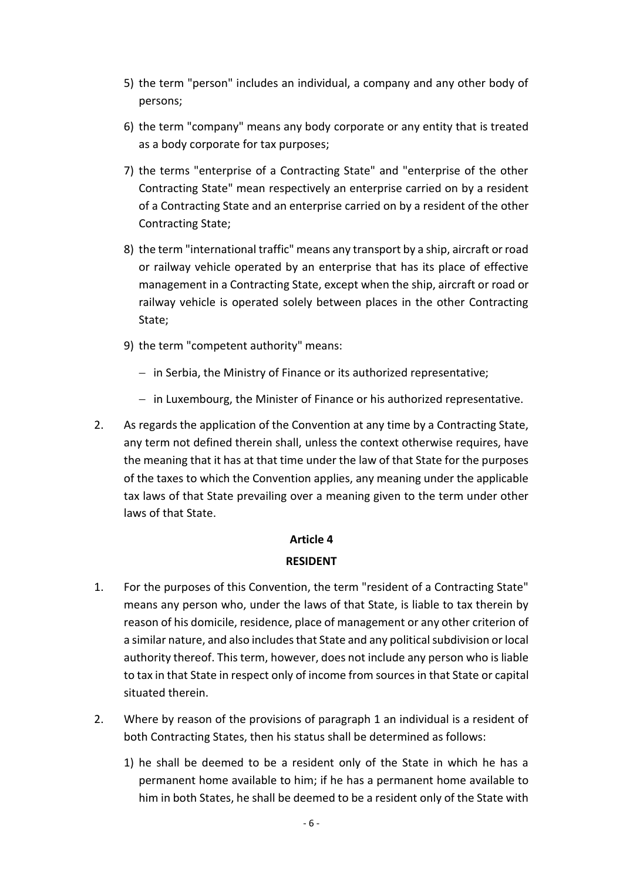- 5) the term "person" includes an individual, a company and any other body of persons;
- 6) the term "company" means any body corporate or any entity that is treated as a body corporate for tax purposes;
- 7) the terms "enterprise of a Contracting State" and "enterprise of the other Contracting State" mean respectively an enterprise carried on by a resident of a Contracting State and an enterprise carried on by a resident of the other Contracting State;
- 8) the term "international traffic" means any transport by a ship, aircraft or road or railway vehicle operated by an enterprise that has its place of effective management in a Contracting State, except when the ship, aircraft or road or railway vehicle is operated solely between places in the other Contracting State;
- 9) the term "competent authority" means:
	- $i i$  in Serbia, the Ministry of Finance or its authorized representative;
	- $-$  in Luxembourg, the Minister of Finance or his authorized representative.
- 2. As regards the application of the Convention at any time by a Contracting State, any term not defined therein shall, unless the context otherwise requires, have the meaning that it has at that time under the law of that State for the purposes of the taxes to which the Convention applies, any meaning under the applicable tax laws of that State prevailing over a meaning given to the term under other laws of that State.

# **RESIDENT**

- 1. For the purposes of this Convention, the term "resident of a Contracting State" means any person who, under the laws of that State, is liable to tax therein by reason of his domicile, residence, place of management or any other criterion of a similar nature, and also includes that State and any political subdivision or local authority thereof. This term, however, does not include any person who is liable to tax in that State in respect only of income from sources in that State or capital situated therein.
- 2. Where by reason of the provisions of paragraph 1 an individual is a resident of both Contracting States, then his status shall be determined as follows:
	- 1) he shall be deemed to be a resident only of the State in which he has a permanent home available to him; if he has a permanent home available to him in both States, he shall be deemed to be a resident only of the State with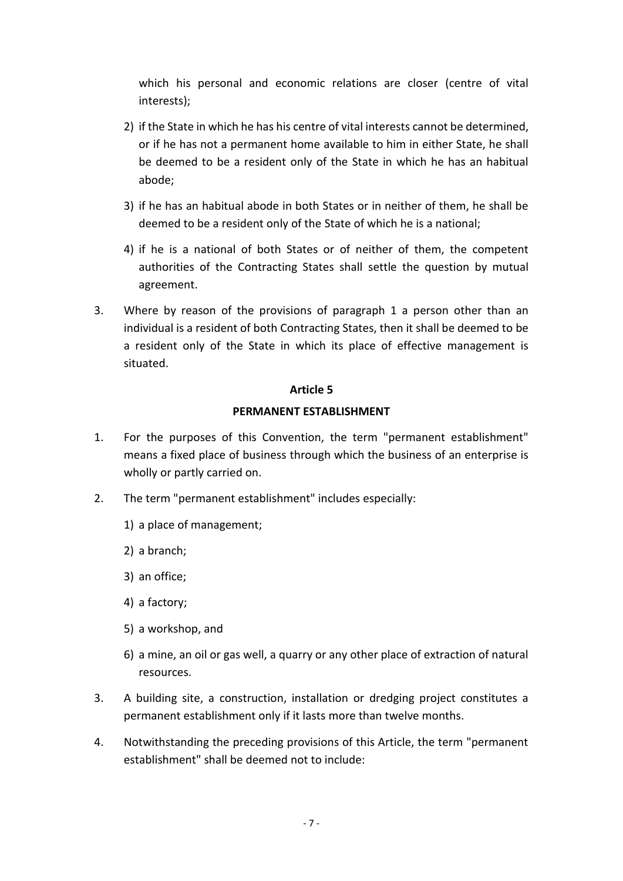which his personal and economic relations are closer (centre of vital interests);

- 2) if the State in which he has his centre of vital interests cannot be determined, or if he has not a permanent home available to him in either State, he shall be deemed to be a resident only of the State in which he has an habitual abode;
- 3) if he has an habitual abode in both States or in neither of them, he shall be deemed to be a resident only of the State of which he is a national;
- 4) if he is a national of both States or of neither of them, the competent authorities of the Contracting States shall settle the question by mutual agreement.
- 3. Where by reason of the provisions of paragraph 1 a person other than an individual is a resident of both Contracting States, then it shall be deemed to be a resident only of the State in which its place of effective management is situated.

#### **Article 5**

#### **PERMANENT ESTABLISHMENT**

- 1. For the purposes of this Convention, the term "permanent establishment" means a fixed place of business through which the business of an enterprise is wholly or partly carried on.
- 2. The term "permanent establishment" includes especially:
	- 1) a place of management;
	- 2) a branch;
	- 3) an office;
	- 4) a factory;
	- 5) a workshop, and
	- 6) a mine, an oil or gas well, a quarry or any other place of extraction of natural resources.
- 3. A building site, a construction, installation or dredging project constitutes a permanent establishment only if it lasts more than twelve months.
- 4. Notwithstanding the preceding provisions of this Article, the term "permanent establishment" shall be deemed not to include: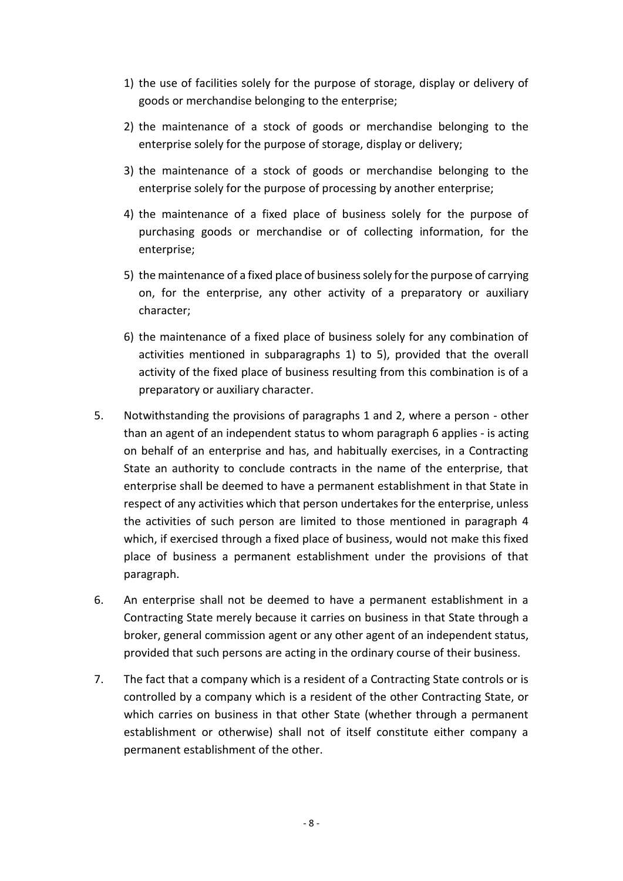- 1) the use of facilities solely for the purpose of storage, display or delivery of goods or merchandise belonging to the enterprise;
- 2) the maintenance of a stock of goods or merchandise belonging to the enterprise solely for the purpose of storage, display or delivery;
- 3) the maintenance of a stock of goods or merchandise belonging to the enterprise solely for the purpose of processing by another enterprise;
- 4) the maintenance of a fixed place of business solely for the purpose of purchasing goods or merchandise or of collecting information, for the enterprise;
- 5) the maintenance of a fixed place of business solely for the purpose of carrying on, for the enterprise, any other activity of a preparatory or auxiliary character;
- 6) the maintenance of a fixed place of business solely for any combination of activities mentioned in subparagraphs 1) to 5), provided that the overall activity of the fixed place of business resulting from this combination is of a preparatory or auxiliary character.
- 5. Notwithstanding the provisions of paragraphs 1 and 2, where a person other than an agent of an independent status to whom paragraph 6 applies - is acting on behalf of an enterprise and has, and habitually exercises, in a Contracting State an authority to conclude contracts in the name of the enterprise, that enterprise shall be deemed to have a permanent establishment in that State in respect of any activities which that person undertakes for the enterprise, unless the activities of such person are limited to those mentioned in paragraph 4 which, if exercised through a fixed place of business, would not make this fixed place of business a permanent establishment under the provisions of that paragraph.
- 6. An enterprise shall not be deemed to have a permanent establishment in a Contracting State merely because it carries on business in that State through a broker, general commission agent or any other agent of an independent status, provided that such persons are acting in the ordinary course of their business.
- 7. The fact that a company which is a resident of a Contracting State controls or is controlled by a company which is a resident of the other Contracting State, or which carries on business in that other State (whether through a permanent establishment or otherwise) shall not of itself constitute either company a permanent establishment of the other.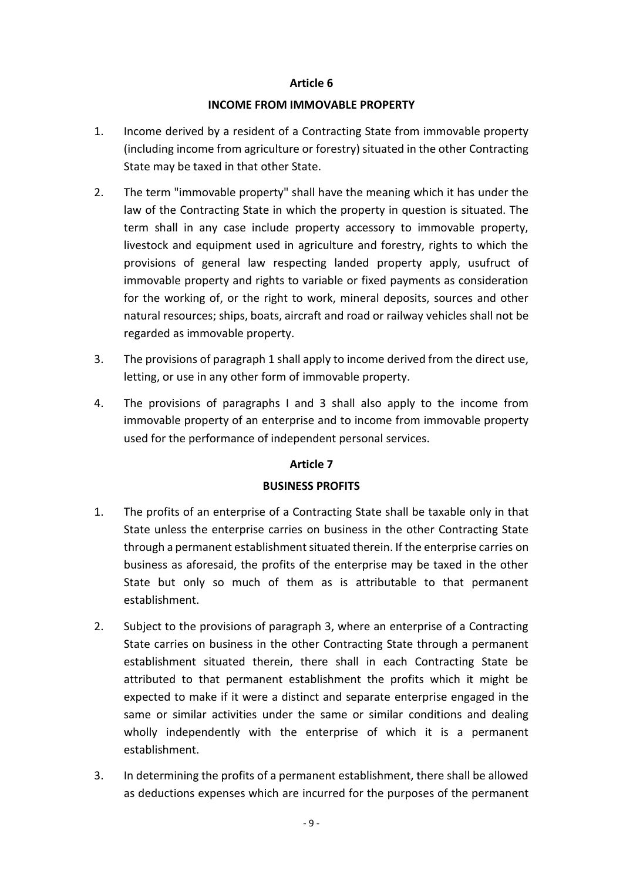#### **INCOME FROM IMMOVABLE PROPERTY**

- 1. Income derived by a resident of a Contracting State from immovable property (including income from agriculture or forestry) situated in the other Contracting State may be taxed in that other State.
- 2. The term "immovable property" shall have the meaning which it has under the law of the Contracting State in which the property in question is situated. The term shall in any case include property accessory to immovable property, livestock and equipment used in agriculture and forestry, rights to which the provisions of general law respecting landed property apply, usufruct of immovable property and rights to variable or fixed payments as consideration for the working of, or the right to work, mineral deposits, sources and other natural resources; ships, boats, aircraft and road or railway vehicles shall not be regarded as immovable property.
- 3. The provisions of paragraph 1 shall apply to income derived from the direct use, letting, or use in any other form of immovable property.
- 4. The provisions of paragraphs I and 3 shall also apply to the income from immovable property of an enterprise and to income from immovable property used for the performance of independent personal services.

# **Article 7**

#### **BUSINESS PROFITS**

- 1. The profits of an enterprise of a Contracting State shall be taxable only in that State unless the enterprise carries on business in the other Contracting State through a permanent establishment situated therein. If the enterprise carries on business as aforesaid, the profits of the enterprise may be taxed in the other State but only so much of them as is attributable to that permanent establishment.
- 2. Subject to the provisions of paragraph 3, where an enterprise of a Contracting State carries on business in the other Contracting State through a permanent establishment situated therein, there shall in each Contracting State be attributed to that permanent establishment the profits which it might be expected to make if it were a distinct and separate enterprise engaged in the same or similar activities under the same or similar conditions and dealing wholly independently with the enterprise of which it is a permanent establishment.
- 3. In determining the profits of a permanent establishment, there shall be allowed as deductions expenses which are incurred for the purposes of the permanent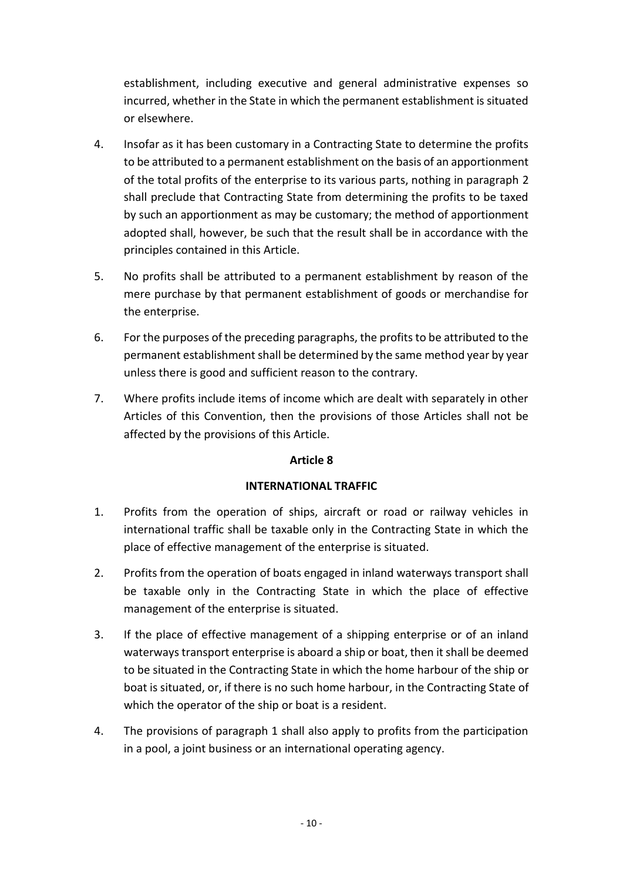establishment, including executive and general administrative expenses so incurred, whether in the State in which the permanent establishment is situated or elsewhere.

- 4. Insofar as it has been customary in a Contracting State to determine the profits to be attributed to a permanent establishment on the basis of an apportionment of the total profits of the enterprise to its various parts, nothing in paragraph 2 shall preclude that Contracting State from determining the profits to be taxed by such an apportionment as may be customary; the method of apportionment adopted shall, however, be such that the result shall be in accordance with the principles contained in this Article.
- 5. No profits shall be attributed to a permanent establishment by reason of the mere purchase by that permanent establishment of goods or merchandise for the enterprise.
- 6. For the purposes of the preceding paragraphs, the profits to be attributed to the permanent establishment shall be determined by the same method year by year unless there is good and sufficient reason to the contrary.
- 7. Where profits include items of income which are dealt with separately in other Articles of this Convention, then the provisions of those Articles shall not be affected by the provisions of this Article.

# **Article 8**

# **INTERNATIONAL TRAFFIC**

- 1. Profits from the operation of ships, aircraft or road or railway vehicles in international traffic shall be taxable only in the Contracting State in which the place of effective management of the enterprise is situated.
- 2. Profits from the operation of boats engaged in inland waterways transport shall be taxable only in the Contracting State in which the place of effective management of the enterprise is situated.
- 3. If the place of effective management of a shipping enterprise or of an inland waterways transport enterprise is aboard a ship or boat, then it shall be deemed to be situated in the Contracting State in which the home harbour of the ship or boat is situated, or, if there is no such home harbour, in the Contracting State of which the operator of the ship or boat is a resident.
- 4. The provisions of paragraph 1 shall also apply to profits from the participation in a pool, a joint business or an international operating agency.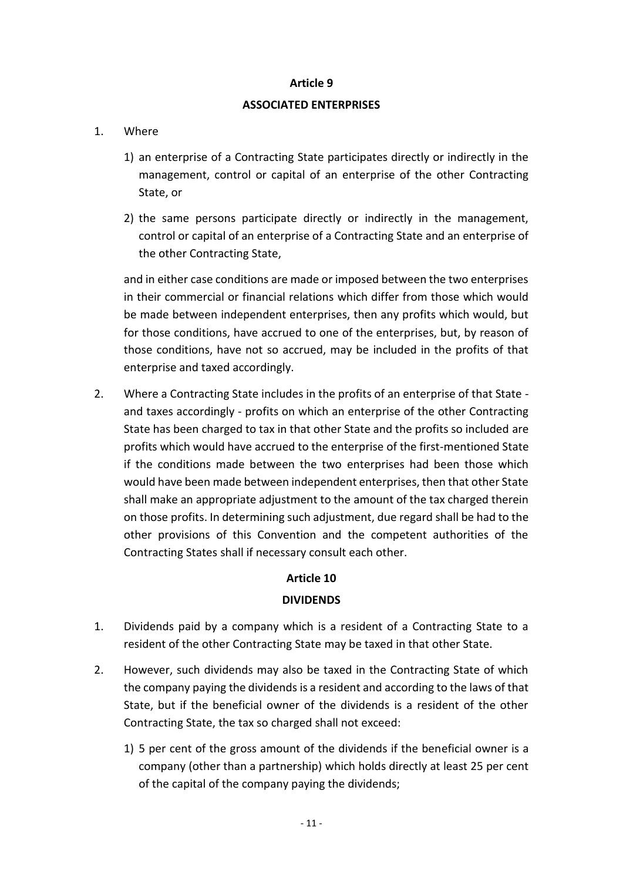#### **ASSOCIATED ENTERPRISES**

- 1. Where
	- 1) an enterprise of a Contracting State participates directly or indirectly in the management, control or capital of an enterprise of the other Contracting State, or
	- 2) the same persons participate directly or indirectly in the management, control or capital of an enterprise of a Contracting State and an enterprise of the other Contracting State,

and in either case conditions are made or imposed between the two enterprises in their commercial or financial relations which differ from those which would be made between independent enterprises, then any profits which would, but for those conditions, have accrued to one of the enterprises, but, by reason of those conditions, have not so accrued, may be included in the profits of that enterprise and taxed accordingly.

2. Where a Contracting State includes in the profits of an enterprise of that State and taxes accordingly - profits on which an enterprise of the other Contracting State has been charged to tax in that other State and the profits so included are profits which would have accrued to the enterprise of the first-mentioned State if the conditions made between the two enterprises had been those which would have been made between independent enterprises, then that other State shall make an appropriate adjustment to the amount of the tax charged therein on those profits. In determining such adjustment, due regard shall be had to the other provisions of this Convention and the competent authorities of the Contracting States shall if necessary consult each other.

#### **Article 10**

#### **DIVIDENDS**

- 1. Dividends paid by a company which is a resident of a Contracting State to a resident of the other Contracting State may be taxed in that other State.
- 2. However, such dividends may also be taxed in the Contracting State of which the company paying the dividends is a resident and according to the laws of that State, but if the beneficial owner of the dividends is a resident of the other Contracting State, the tax so charged shall not exceed:
	- 1) 5 per cent of the gross amount of the dividends if the beneficial owner is a company (other than a partnership) which holds directly at least 25 per cent of the capital of the company paying the dividends;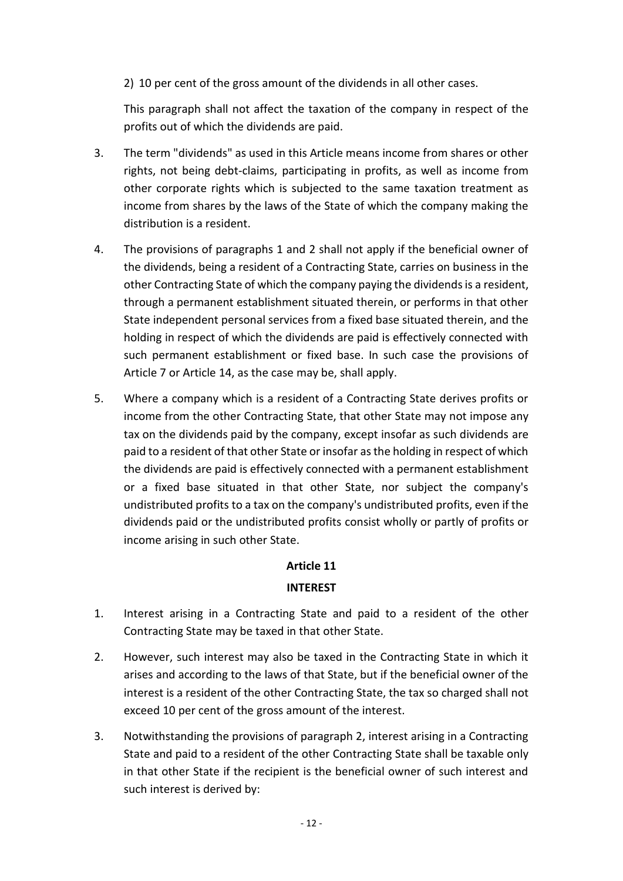2) 10 per cent of the gross amount of the dividends in all other cases.

This paragraph shall not affect the taxation of the company in respect of the profits out of which the dividends are paid.

- 3. The term "dividends" as used in this Article means income from shares or other rights, not being debt-claims, participating in profits, as well as income from other corporate rights which is subjected to the same taxation treatment as income from shares by the laws of the State of which the company making the distribution is a resident.
- 4. The provisions of paragraphs 1 and 2 shall not apply if the beneficial owner of the dividends, being a resident of a Contracting State, carries on business in the other Contracting State of which the company paying the dividends is a resident, through a permanent establishment situated therein, or performs in that other State independent personal services from a fixed base situated therein, and the holding in respect of which the dividends are paid is effectively connected with such permanent establishment or fixed base. In such case the provisions of Article 7 or Article 14, as the case may be, shall apply.
- 5. Where a company which is a resident of a Contracting State derives profits or income from the other Contracting State, that other State may not impose any tax on the dividends paid by the company, except insofar as such dividends are paid to a resident of that other State or insofar as the holding in respect of which the dividends are paid is effectively connected with a permanent establishment or a fixed base situated in that other State, nor subject the company's undistributed profits to a tax on the company's undistributed profits, even if the dividends paid or the undistributed profits consist wholly or partly of profits or income arising in such other State.

# **Article 11**

# **INTEREST**

- 1. Interest arising in a Contracting State and paid to a resident of the other Contracting State may be taxed in that other State.
- 2. However, such interest may also be taxed in the Contracting State in which it arises and according to the laws of that State, but if the beneficial owner of the interest is a resident of the other Contracting State, the tax so charged shall not exceed 10 per cent of the gross amount of the interest.
- 3. Notwithstanding the provisions of paragraph 2, interest arising in a Contracting State and paid to a resident of the other Contracting State shall be taxable only in that other State if the recipient is the beneficial owner of such interest and such interest is derived by: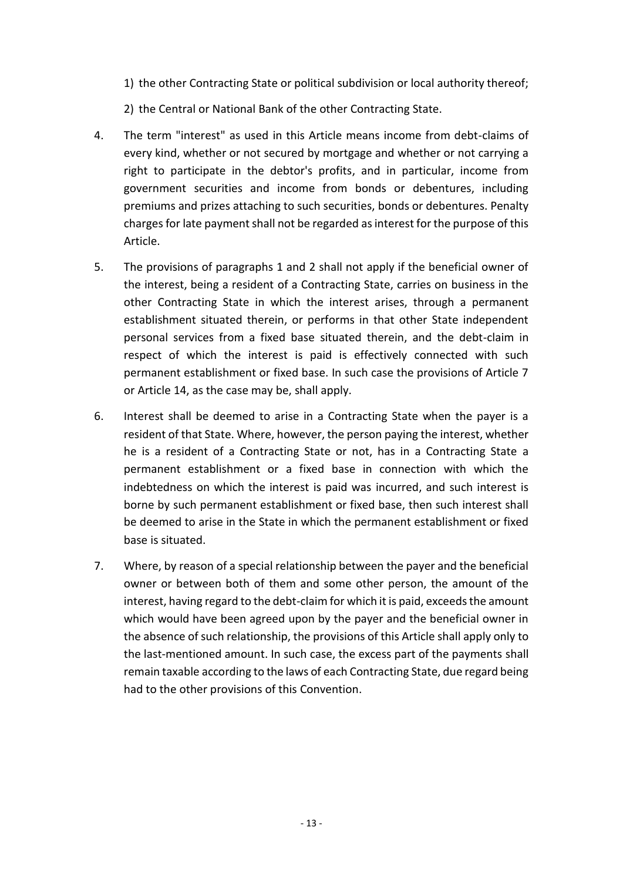- 1) the other Contracting State or political subdivision or local authority thereof;
- 2) the Central or National Bank of the other Contracting State.
- 4. The term "interest" as used in this Article means income from debt-claims of every kind, whether or not secured by mortgage and whether or not carrying a right to participate in the debtor's profits, and in particular, income from government securities and income from bonds or debentures, including premiums and prizes attaching to such securities, bonds or debentures. Penalty charges for late payment shall not be regarded as interest for the purpose of this Article.
- 5. The provisions of paragraphs 1 and 2 shall not apply if the beneficial owner of the interest, being a resident of a Contracting State, carries on business in the other Contracting State in which the interest arises, through a permanent establishment situated therein, or performs in that other State independent personal services from a fixed base situated therein, and the debt-claim in respect of which the interest is paid is effectively connected with such permanent establishment or fixed base. In such case the provisions of Article 7 or Article 14, as the case may be, shall apply.
- 6. Interest shall be deemed to arise in a Contracting State when the payer is a resident of that State. Where, however, the person paying the interest, whether he is a resident of a Contracting State or not, has in a Contracting State a permanent establishment or a fixed base in connection with which the indebtedness on which the interest is paid was incurred, and such interest is borne by such permanent establishment or fixed base, then such interest shall be deemed to arise in the State in which the permanent establishment or fixed base is situated.
- 7. Where, by reason of a special relationship between the payer and the beneficial owner or between both of them and some other person, the amount of the interest, having regard to the debt-claim for which it is paid, exceeds the amount which would have been agreed upon by the payer and the beneficial owner in the absence of such relationship, the provisions of this Article shall apply only to the last-mentioned amount. In such case, the excess part of the payments shall remain taxable according to the laws of each Contracting State, due regard being had to the other provisions of this Convention.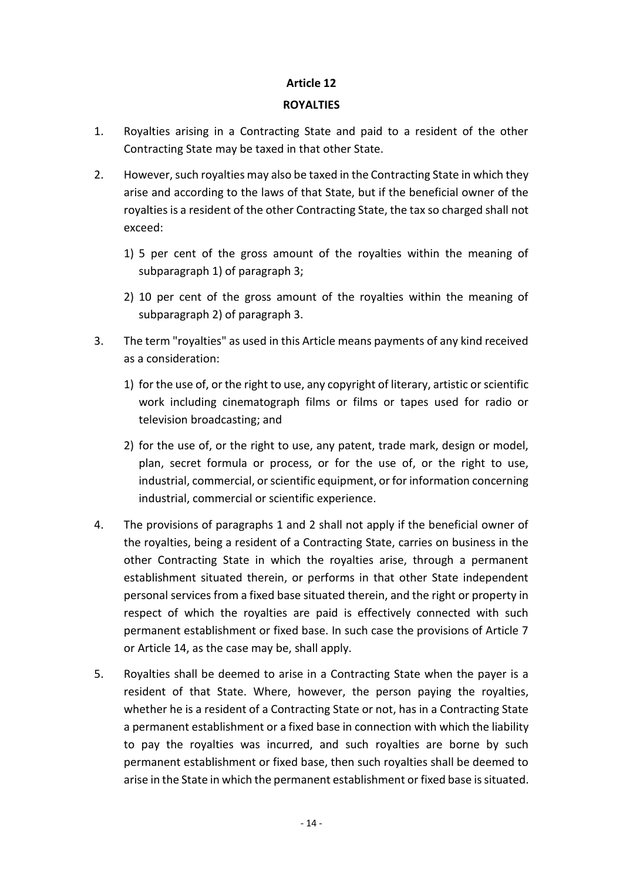#### **ROYALTIES**

- 1. Royalties arising in a Contracting State and paid to a resident of the other Contracting State may be taxed in that other State.
- 2. However, such royalties may also be taxed in the Contracting State in which they arise and according to the laws of that State, but if the beneficial owner of the royalties is a resident of the other Contracting State, the tax so charged shall not exceed:
	- 1) 5 per cent of the gross amount of the royalties within the meaning of subparagraph 1) of paragraph 3;
	- 2) 10 per cent of the gross amount of the royalties within the meaning of subparagraph 2) of paragraph 3.
- 3. The term "royalties" as used in this Article means payments of any kind received as a consideration:
	- 1) for the use of, or the right to use, any copyright of literary, artistic or scientific work including cinematograph films or films or tapes used for radio or television broadcasting; and
	- 2) for the use of, or the right to use, any patent, trade mark, design or model, plan, secret formula or process, or for the use of, or the right to use, industrial, commercial, or scientific equipment, or for information concerning industrial, commercial or scientific experience.
- 4. The provisions of paragraphs 1 and 2 shall not apply if the beneficial owner of the royalties, being a resident of a Contracting State, carries on business in the other Contracting State in which the royalties arise, through a permanent establishment situated therein, or performs in that other State independent personal services from a fixed base situated therein, and the right or property in respect of which the royalties are paid is effectively connected with such permanent establishment or fixed base. In such case the provisions of Article 7 or Article 14, as the case may be, shall apply.
- 5. Royalties shall be deemed to arise in a Contracting State when the payer is a resident of that State. Where, however, the person paying the royalties, whether he is a resident of a Contracting State or not, has in a Contracting State a permanent establishment or a fixed base in connection with which the liability to pay the royalties was incurred, and such royalties are borne by such permanent establishment or fixed base, then such royalties shall be deemed to arise in the State in which the permanent establishment or fixed base is situated.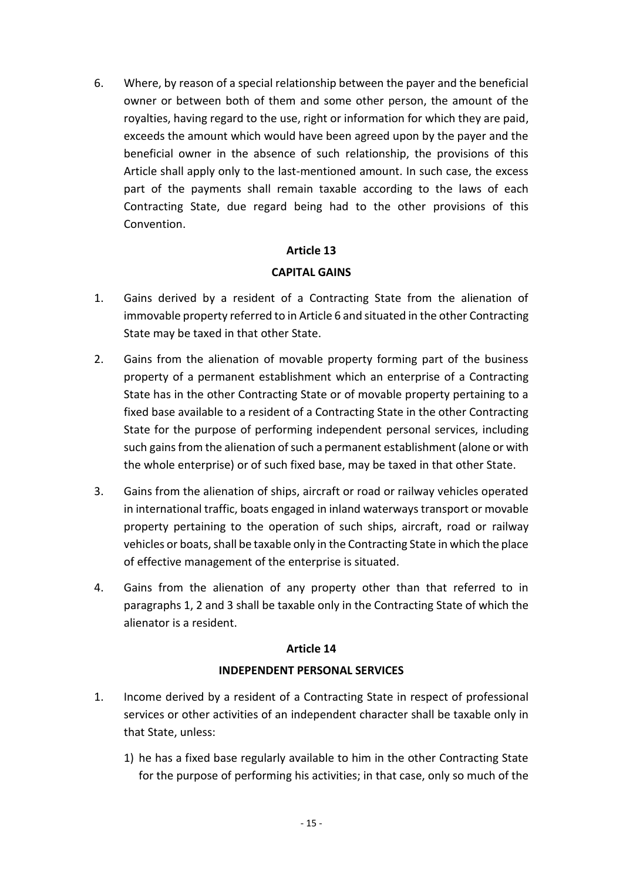6. Where, by reason of a special relationship between the payer and the beneficial owner or between both of them and some other person, the amount of the royalties, having regard to the use, right or information for which they are paid, exceeds the amount which would have been agreed upon by the payer and the beneficial owner in the absence of such relationship, the provisions of this Article shall apply only to the last-mentioned amount. In such case, the excess part of the payments shall remain taxable according to the laws of each Contracting State, due regard being had to the other provisions of this Convention.

# **Article 13**

# **CAPITAL GAINS**

- 1. Gains derived by a resident of a Contracting State from the alienation of immovable property referred to in Article 6 and situated in the other Contracting State may be taxed in that other State.
- 2. Gains from the alienation of movable property forming part of the business property of a permanent establishment which an enterprise of a Contracting State has in the other Contracting State or of movable property pertaining to a fixed base available to a resident of a Contracting State in the other Contracting State for the purpose of performing independent personal services, including such gains from the alienation of such a permanent establishment (alone or with the whole enterprise) or of such fixed base, may be taxed in that other State.
- 3. Gains from the alienation of ships, aircraft or road or railway vehicles operated in international traffic, boats engaged in inland waterways transport or movable property pertaining to the operation of such ships, aircraft, road or railway vehicles or boats, shall be taxable only in the Contracting State in which the place of effective management of the enterprise is situated.
- 4. Gains from the alienation of any property other than that referred to in paragraphs 1, 2 and 3 shall be taxable only in the Contracting State of which the alienator is a resident.

# **Article 14**

# **INDEPENDENT PERSONAL SERVICES**

- 1. Income derived by a resident of a Contracting State in respect of professional services or other activities of an independent character shall be taxable only in that State, unless:
	- 1) he has a fixed base regularly available to him in the other Contracting State for the purpose of performing his activities; in that case, only so much of the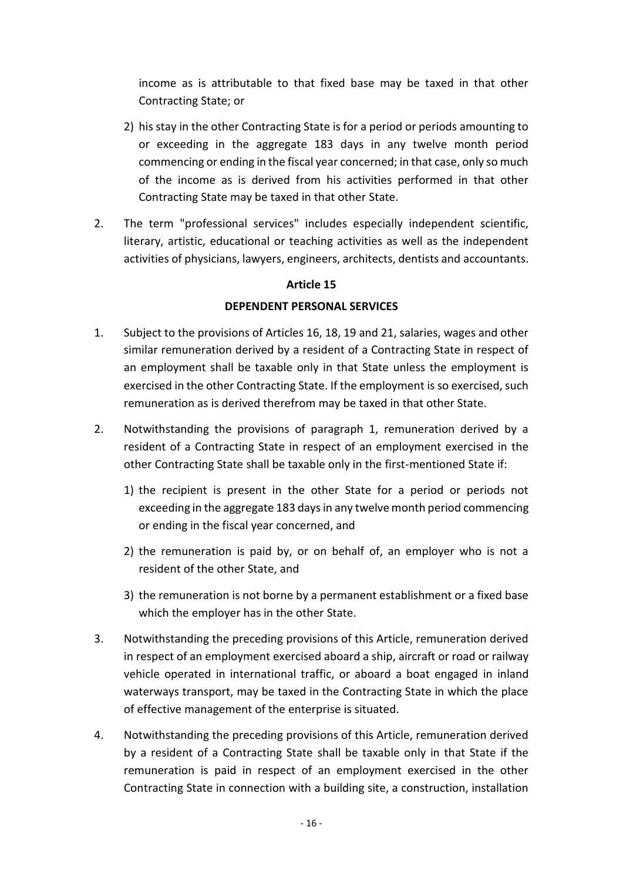income as is attributable to that fixed base may be taxed in that other Contracting State; or

- 2) his stay in the other Contracting State is for a period or periods amounting to or exceeding in the aggregate 183 days in any twelve month period commencing or ending in the fiscal year concerned; in that case, only so much of the income as is derived from his activities performed in that other Contracting State may be taxed in that other State.
- 2. The term "professional services" includes especially independent scientific, literary, artistic, educational or teaching activities as well as the independent activities of physicians, lawyers, engineers, architects, dentists and accountants.

# **Article 15**

#### **DEPENDENT PERSONAL SERVICES**

- 1. Subject to the provisions of Articles 16, 18, 19 and 21, salaries, wages and other similar remuneration derived by a resident of a Contracting State in respect of an employment shall be taxable only in that State unless the employment is exercised in the other Contracting State. If the employment is so exercised, such remuneration as is derived therefrom may be taxed in that other State.
- 2. Notwithstanding the provisions of paragraph 1, remuneration derived by a resident of a Contracting State in respect of an employment exercised in the other Contracting State shall be taxable only in the first-mentioned State if:
	- 1) the recipient is present in the other State for a period or periods not exceeding in the aggregate 183 days in any twelve month period commencing or ending in the fiscal year concerned, and
	- 2) the remuneration is paid by, or on behalf of, an employer who is not a resident of the other State, and
	- 3) the remuneration is not borne by a permanent establishment or a fixed base which the employer has in the other State.
- 3. Notwithstanding the preceding provisions of this Article, remuneration derived in respect of an employment exercised aboard a ship, aircraft or road or railway vehicle operated in international traffic, or aboard a boat engaged in inland waterways transport, may be taxed in the Contracting State in which the place of effective management of the enterprise is situated.
- 4. Notwithstanding the preceding provisions of this Article, remuneration derived by a resident of a Contracting State shall be taxable only in that State if the remuneration is paid in respect of an employment exercised in the other Contracting State in connection with a building site, a construction, installation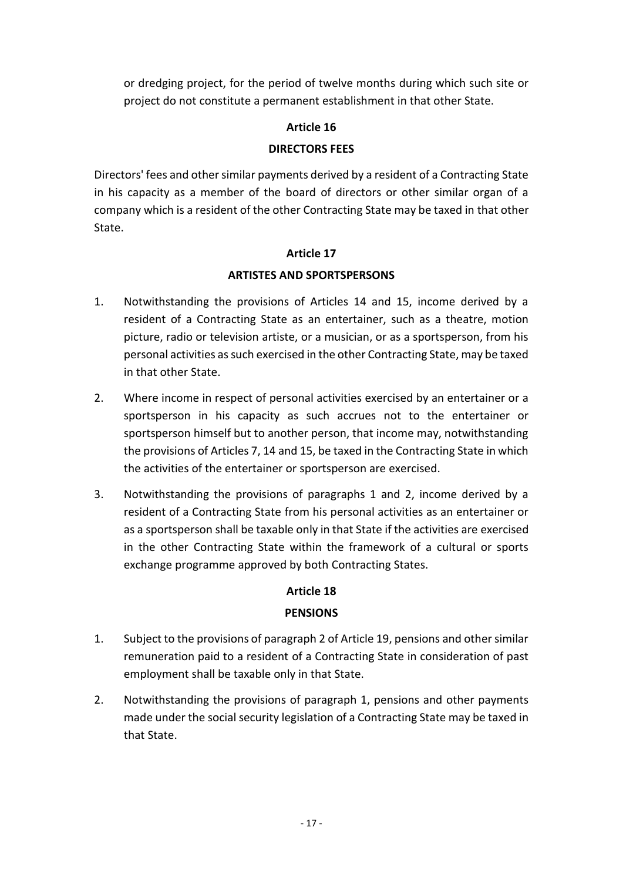or dredging project, for the period of twelve months during which such site or project do not constitute a permanent establishment in that other State.

# **Article 16**

#### **DIRECTORS FEES**

Directors' fees and other similar payments derived by a resident of a Contracting State in his capacity as a member of the board of directors or other similar organ of a company which is a resident of the other Contracting State may be taxed in that other State.

#### **Article 17**

# **ARTISTES AND SPORTSPERSONS**

- 1. Notwithstanding the provisions of Articles 14 and 15, income derived by a resident of a Contracting State as an entertainer, such as a theatre, motion picture, radio or television artiste, or a musician, or as a sportsperson, from his personal activities as such exercised in the other Contracting State, may be taxed in that other State.
- 2. Where income in respect of personal activities exercised by an entertainer or a sportsperson in his capacity as such accrues not to the entertainer or sportsperson himself but to another person, that income may, notwithstanding the provisions of Articles 7, 14 and 15, be taxed in the Contracting State in which the activities of the entertainer or sportsperson are exercised.
- 3. Notwithstanding the provisions of paragraphs 1 and 2, income derived by a resident of a Contracting State from his personal activities as an entertainer or as a sportsperson shall be taxable only in that State if the activities are exercised in the other Contracting State within the framework of a cultural or sports exchange programme approved by both Contracting States.

# **Article 18**

# **PENSIONS**

- 1. Subject to the provisions of paragraph 2 of Article 19, pensions and other similar remuneration paid to a resident of a Contracting State in consideration of past employment shall be taxable only in that State.
- 2. Notwithstanding the provisions of paragraph 1, pensions and other payments made under the social security legislation of a Contracting State may be taxed in that State.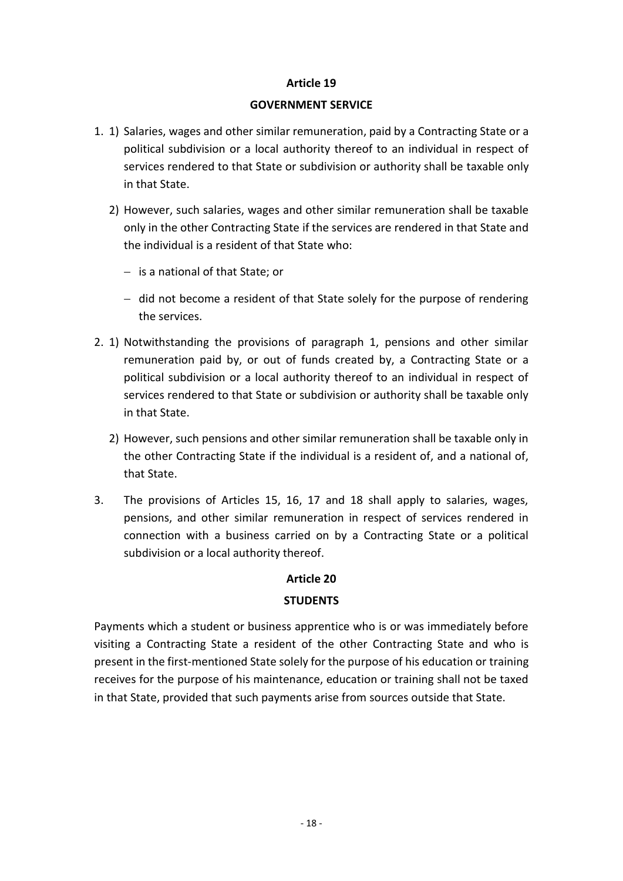#### **GOVERNMENT SERVICE**

- 1. 1) Salaries, wages and other similar remuneration, paid by a Contracting State or a political subdivision or a local authority thereof to an individual in respect of services rendered to that State or subdivision or authority shall be taxable only in that State.
	- 2) However, such salaries, wages and other similar remuneration shall be taxable only in the other Contracting State if the services are rendered in that State and the individual is a resident of that State who:
		- $-$  is a national of that State; or
		- $-$  did not become a resident of that State solely for the purpose of rendering the services.
- 2. 1) Notwithstanding the provisions of paragraph 1, pensions and other similar remuneration paid by, or out of funds created by, a Contracting State or a political subdivision or a local authority thereof to an individual in respect of services rendered to that State or subdivision or authority shall be taxable only in that State.
	- 2) However, such pensions and other similar remuneration shall be taxable only in the other Contracting State if the individual is a resident of, and a national of, that State.
- 3. The provisions of Articles 15, 16, 17 and 18 shall apply to salaries, wages, pensions, and other similar remuneration in respect of services rendered in connection with a business carried on by a Contracting State or a political subdivision or a local authority thereof.

# **Article 20**

# **STUDENTS**

Payments which a student or business apprentice who is or was immediately before visiting a Contracting State a resident of the other Contracting State and who is present in the first-mentioned State solely for the purpose of his education or training receives for the purpose of his maintenance, education or training shall not be taxed in that State, provided that such payments arise from sources outside that State.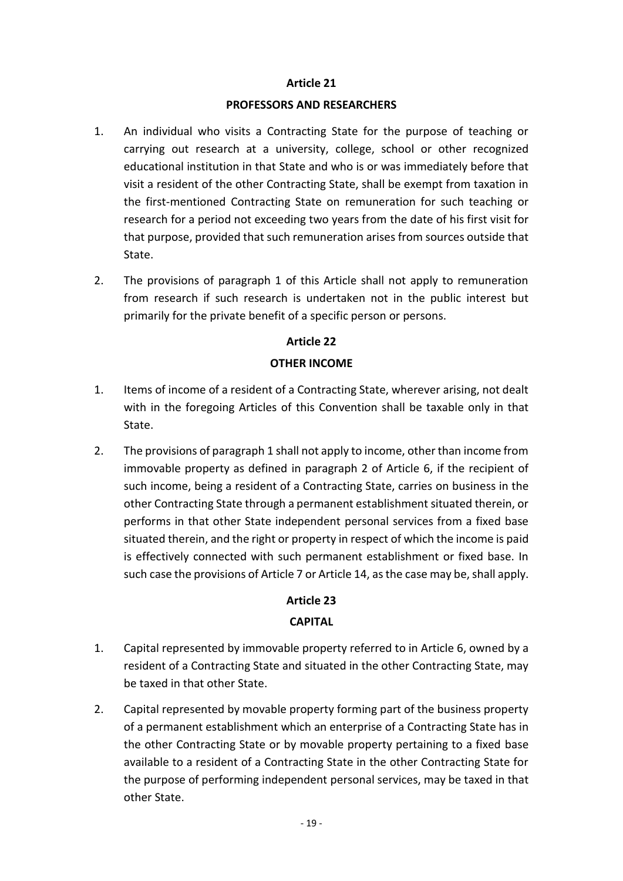#### **PROFESSORS AND RESEARCHERS**

- 1. An individual who visits a Contracting State for the purpose of teaching or carrying out research at a university, college, school or other recognized educational institution in that State and who is or was immediately before that visit a resident of the other Contracting State, shall be exempt from taxation in the first-mentioned Contracting State on remuneration for such teaching or research for a period not exceeding two years from the date of his first visit for that purpose, provided that such remuneration arises from sources outside that State.
- 2. The provisions of paragraph 1 of this Article shall not apply to remuneration from research if such research is undertaken not in the public interest but primarily for the private benefit of a specific person or persons.

# **Article 22**

# **OTHER INCOME**

- 1. Items of income of a resident of a Contracting State, wherever arising, not dealt with in the foregoing Articles of this Convention shall be taxable only in that State.
- 2. The provisions of paragraph 1 shall not apply to income, other than income from immovable property as defined in paragraph 2 of Article 6, if the recipient of such income, being a resident of a Contracting State, carries on business in the other Contracting State through a permanent establishment situated therein, or performs in that other State independent personal services from a fixed base situated therein, and the right or property in respect of which the income is paid is effectively connected with such permanent establishment or fixed base. In such case the provisions of Article 7 or Article 14, as the case may be, shall apply.

# **Article 23**

# **CAPITAL**

- 1. Capital represented by immovable property referred to in Article 6, owned by a resident of a Contracting State and situated in the other Contracting State, may be taxed in that other State.
- 2. Capital represented by movable property forming part of the business property of a permanent establishment which an enterprise of a Contracting State has in the other Contracting State or by movable property pertaining to a fixed base available to a resident of a Contracting State in the other Contracting State for the purpose of performing independent personal services, may be taxed in that other State.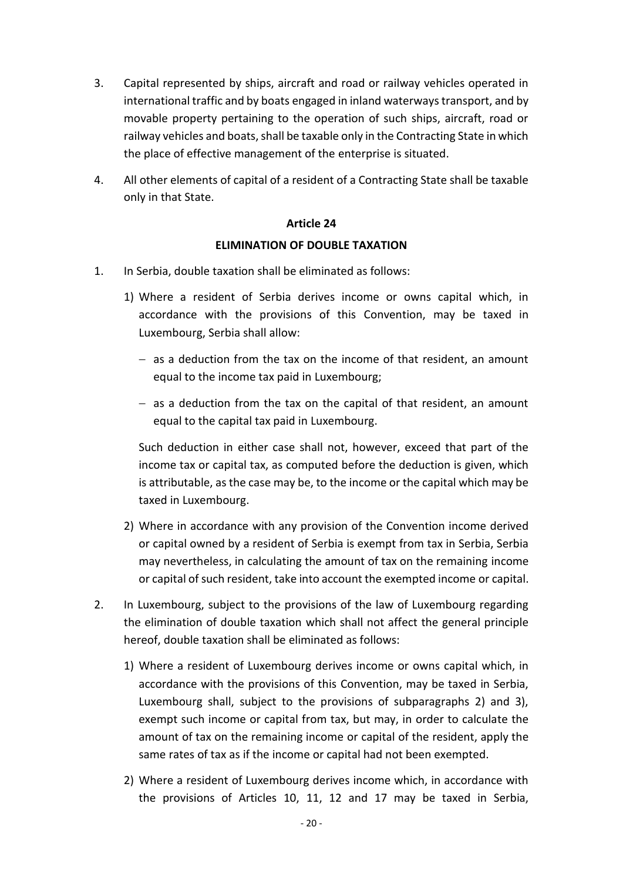- 3. Capital represented by ships, aircraft and road or railway vehicles operated in international traffic and by boats engaged in inland waterways transport, and by movable property pertaining to the operation of such ships, aircraft, road or railway vehicles and boats, shall be taxable only in the Contracting State in which the place of effective management of the enterprise is situated.
- 4. All other elements of capital of a resident of a Contracting State shall be taxable only in that State.

#### **ELIMINATION OF DOUBLE TAXATION**

- 1. In Serbia, double taxation shall be eliminated as follows:
	- 1) Where a resident of Serbia derives income or owns capital which, in accordance with the provisions of this Convention, may be taxed in Luxembourg, Serbia shall allow:
		- $-$  as a deduction from the tax on the income of that resident, an amount equal to the income tax paid in Luxembourg;
		- $-$  as a deduction from the tax on the capital of that resident, an amount equal to the capital tax paid in Luxembourg.

Such deduction in either case shall not, however, exceed that part of the income tax or capital tax, as computed before the deduction is given, which is attributable, as the case may be, to the income or the capital which may be taxed in Luxembourg.

- 2) Where in accordance with any provision of the Convention income derived or capital owned by a resident of Serbia is exempt from tax in Serbia, Serbia may nevertheless, in calculating the amount of tax on the remaining income or capital of such resident, take into account the exempted income or capital.
- 2. In Luxembourg, subject to the provisions of the law of Luxembourg regarding the elimination of double taxation which shall not affect the general principle hereof, double taxation shall be eliminated as follows:
	- 1) Where a resident of Luxembourg derives income or owns capital which, in accordance with the provisions of this Convention, may be taxed in Serbia, Luxembourg shall, subject to the provisions of subparagraphs 2) and 3), exempt such income or capital from tax, but may, in order to calculate the amount of tax on the remaining income or capital of the resident, apply the same rates of tax as if the income or capital had not been exempted.
	- 2) Where a resident of Luxembourg derives income which, in accordance with the provisions of Articles 10, 11, 12 and 17 may be taxed in Serbia,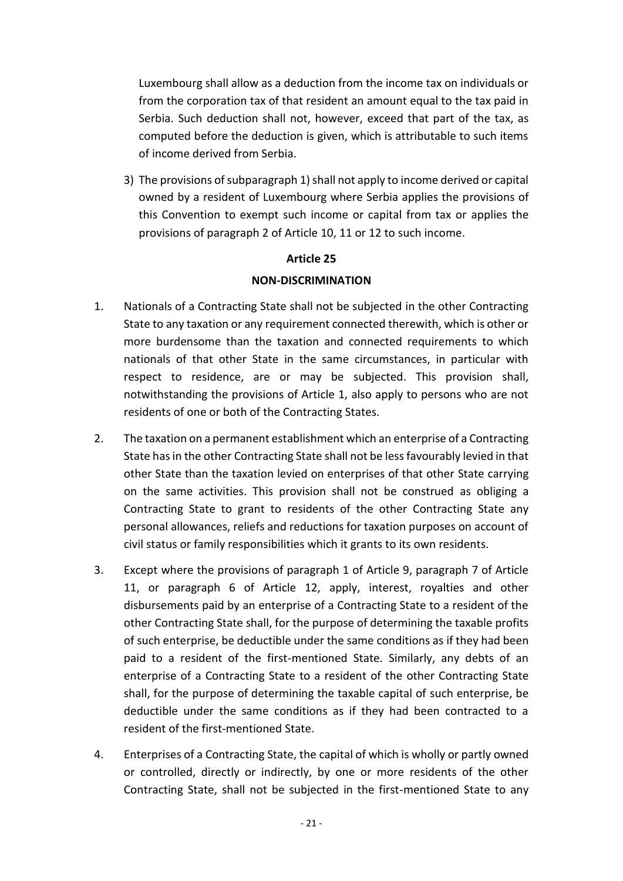Luxembourg shall allow as a deduction from the income tax on individuals or from the corporation tax of that resident an amount equal to the tax paid in Serbia. Such deduction shall not, however, exceed that part of the tax, as computed before the deduction is given, which is attributable to such items of income derived from Serbia.

3) The provisions of subparagraph 1) shall not apply to income derived or capital owned by a resident of Luxembourg where Serbia applies the provisions of this Convention to exempt such income or capital from tax or applies the provisions of paragraph 2 of Article 10, 11 or 12 to such income.

#### **Article 25**

#### **NON-DISCRIMINATION**

- 1. Nationals of a Contracting State shall not be subjected in the other Contracting State to any taxation or any requirement connected therewith, which is other or more burdensome than the taxation and connected requirements to which nationals of that other State in the same circumstances, in particular with respect to residence, are or may be subjected. This provision shall, notwithstanding the provisions of Article 1, also apply to persons who are not residents of one or both of the Contracting States.
- 2. The taxation on a permanent establishment which an enterprise of a Contracting State has in the other Contracting State shall not be less favourably levied in that other State than the taxation levied on enterprises of that other State carrying on the same activities. This provision shall not be construed as obliging a Contracting State to grant to residents of the other Contracting State any personal allowances, reliefs and reductions for taxation purposes on account of civil status or family responsibilities which it grants to its own residents.
- 3. Except where the provisions of paragraph 1 of Article 9, paragraph 7 of Article 11, or paragraph 6 of Article 12, apply, interest, royalties and other disbursements paid by an enterprise of a Contracting State to a resident of the other Contracting State shall, for the purpose of determining the taxable profits of such enterprise, be deductible under the same conditions as if they had been paid to a resident of the first-mentioned State. Similarly, any debts of an enterprise of a Contracting State to a resident of the other Contracting State shall, for the purpose of determining the taxable capital of such enterprise, be deductible under the same conditions as if they had been contracted to a resident of the first-mentioned State.
- 4. Enterprises of a Contracting State, the capital of which is wholly or partly owned or controlled, directly or indirectly, by one or more residents of the other Contracting State, shall not be subjected in the first-mentioned State to any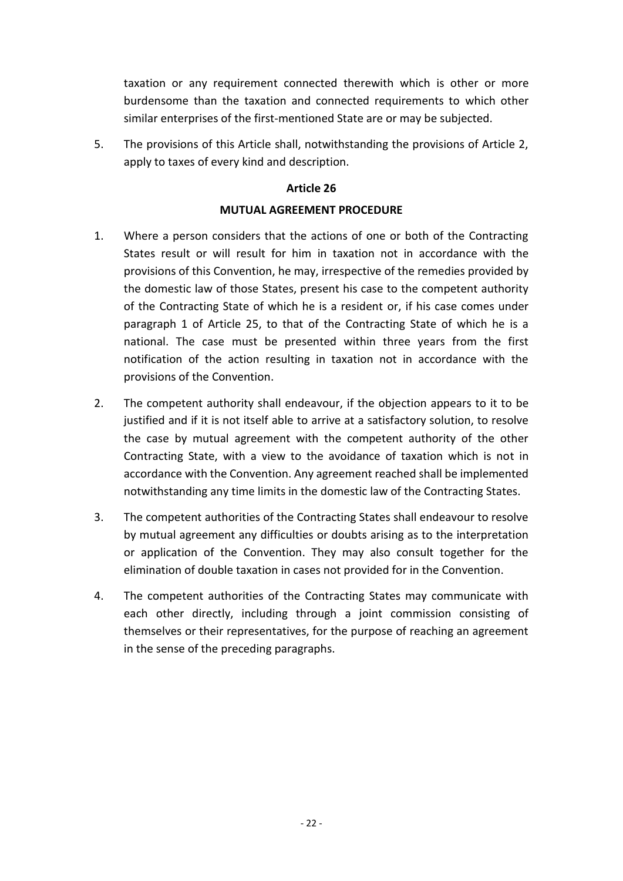taxation or any requirement connected therewith which is other or more burdensome than the taxation and connected requirements to which other similar enterprises of the first-mentioned State are or may be subjected.

5. The provisions of this Article shall, notwithstanding the provisions of Article 2, apply to taxes of every kind and description.

# **Article 26**

#### **MUTUAL AGREEMENT PROCEDURE**

- 1. Where a person considers that the actions of one or both of the Contracting States result or will result for him in taxation not in accordance with the provisions of this Convention, he may, irrespective of the remedies provided by the domestic law of those States, present his case to the competent authority of the Contracting State of which he is a resident or, if his case comes under paragraph 1 of Article 25, to that of the Contracting State of which he is a national. The case must be presented within three years from the first notification of the action resulting in taxation not in accordance with the provisions of the Convention.
- 2. The competent authority shall endeavour, if the objection appears to it to be justified and if it is not itself able to arrive at a satisfactory solution, to resolve the case by mutual agreement with the competent authority of the other Contracting State, with a view to the avoidance of taxation which is not in accordance with the Convention. Any agreement reached shall be implemented notwithstanding any time limits in the domestic law of the Contracting States.
- 3. The competent authorities of the Contracting States shall endeavour to resolve by mutual agreement any difficulties or doubts arising as to the interpretation or application of the Convention. They may also consult together for the elimination of double taxation in cases not provided for in the Convention.
- 4. The competent authorities of the Contracting States may communicate with each other directly, including through a joint commission consisting of themselves or their representatives, for the purpose of reaching an agreement in the sense of the preceding paragraphs.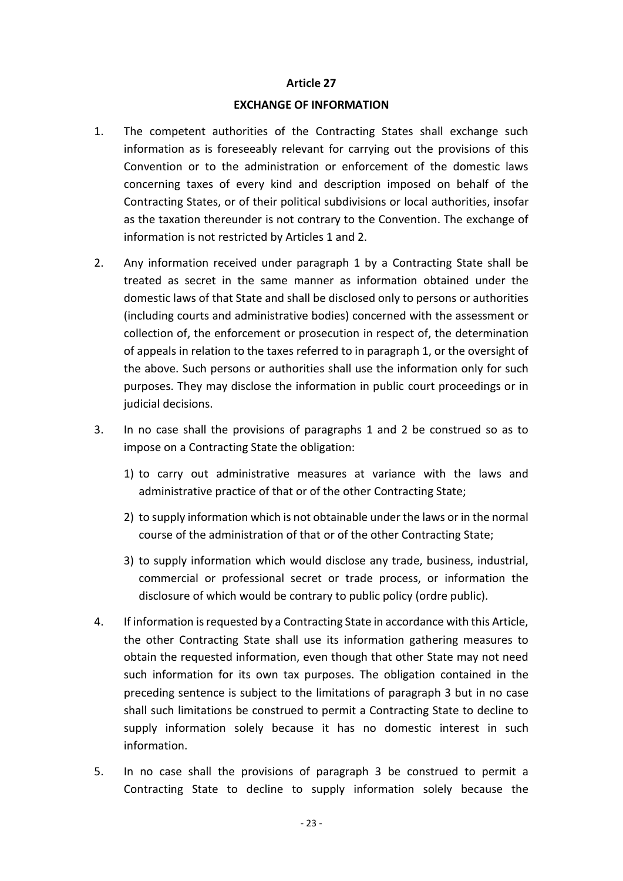#### **EXCHANGE OF INFORMATION**

- 1. The competent authorities of the Contracting States shall exchange such information as is foreseeably relevant for carrying out the provisions of this Convention or to the administration or enforcement of the domestic laws concerning taxes of every kind and description imposed on behalf of the Contracting States, or of their political subdivisions or local authorities, insofar as the taxation thereunder is not contrary to the Convention. The exchange of information is not restricted by Articles 1 and 2.
- 2. Any information received under paragraph 1 by a Contracting State shall be treated as secret in the same manner as information obtained under the domestic laws of that State and shall be disclosed only to persons or authorities (including courts and administrative bodies) concerned with the assessment or collection of, the enforcement or prosecution in respect of, the determination of appeals in relation to the taxes referred to in paragraph 1, or the oversight of the above. Such persons or authorities shall use the information only for such purposes. They may disclose the information in public court proceedings or in judicial decisions.
- 3. In no case shall the provisions of paragraphs 1 and 2 be construed so as to impose on a Contracting State the obligation:
	- 1) to carry out administrative measures at variance with the laws and administrative practice of that or of the other Contracting State;
	- 2) to supply information which is not obtainable under the laws or in the normal course of the administration of that or of the other Contracting State;
	- 3) to supply information which would disclose any trade, business, industrial, commercial or professional secret or trade process, or information the disclosure of which would be contrary to public policy (ordre public).
- 4. If information is requested by a Contracting State in accordance with this Article, the other Contracting State shall use its information gathering measures to obtain the requested information, even though that other State may not need such information for its own tax purposes. The obligation contained in the preceding sentence is subject to the limitations of paragraph 3 but in no case shall such limitations be construed to permit a Contracting State to decline to supply information solely because it has no domestic interest in such information.
- 5. In no case shall the provisions of paragraph 3 be construed to permit a Contracting State to decline to supply information solely because the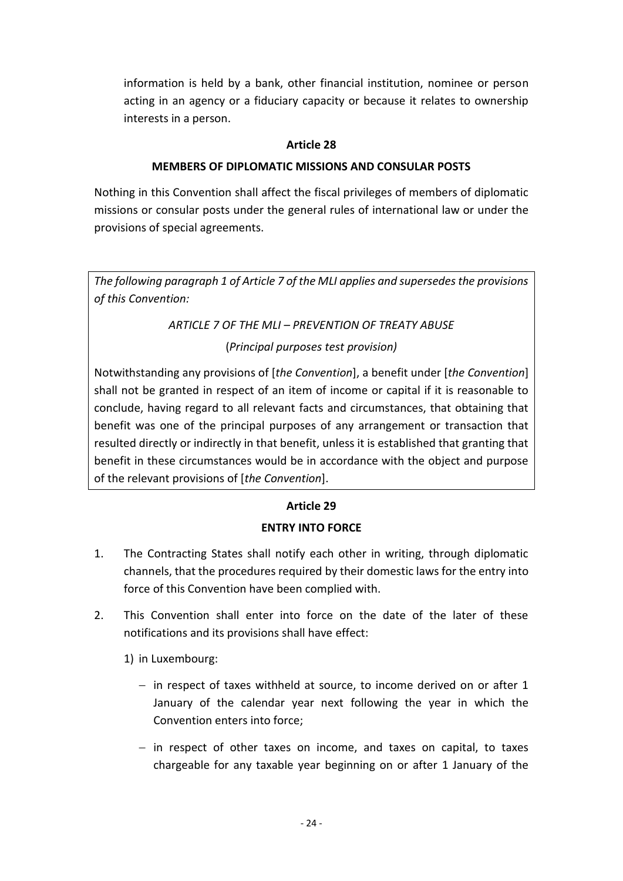information is held by a bank, other financial institution, nominee or person acting in an agency or a fiduciary capacity or because it relates to ownership interests in a person.

#### **Article 28**

#### **MEMBERS OF DIPLOMATIC MISSIONS AND CONSULAR POSTS**

Nothing in this Convention shall affect the fiscal privileges of members of diplomatic missions or consular posts under the general rules of international law or under the provisions of special agreements.

*The following paragraph 1 of Article 7 of the MLI applies and supersedes the provisions of this Convention:*

# *ARTICLE 7 OF THE MLI – PREVENTION OF TREATY ABUSE*

# (*Principal purposes test provision)*

Notwithstanding any provisions of [*the Convention*], a benefit under [*the Convention*] shall not be granted in respect of an item of income or capital if it is reasonable to conclude, having regard to all relevant facts and circumstances, that obtaining that benefit was one of the principal purposes of any arrangement or transaction that resulted directly or indirectly in that benefit, unless it is established that granting that benefit in these circumstances would be in accordance with the object and purpose of the relevant provisions of [*the Convention*].

# **Article 29**

# **ENTRY INTO FORCE**

- 1. The Contracting States shall notify each other in writing, through diplomatic channels, that the procedures required by their domestic laws for the entry into force of this Convention have been complied with.
- 2. This Convention shall enter into force on the date of the later of these notifications and its provisions shall have effect:
	- 1) in Luxembourg:
		- $-$  in respect of taxes withheld at source, to income derived on or after 1 January of the calendar year next following the year in which the Convention enters into force;
		- $-$  in respect of other taxes on income, and taxes on capital, to taxes chargeable for any taxable year beginning on or after 1 January of the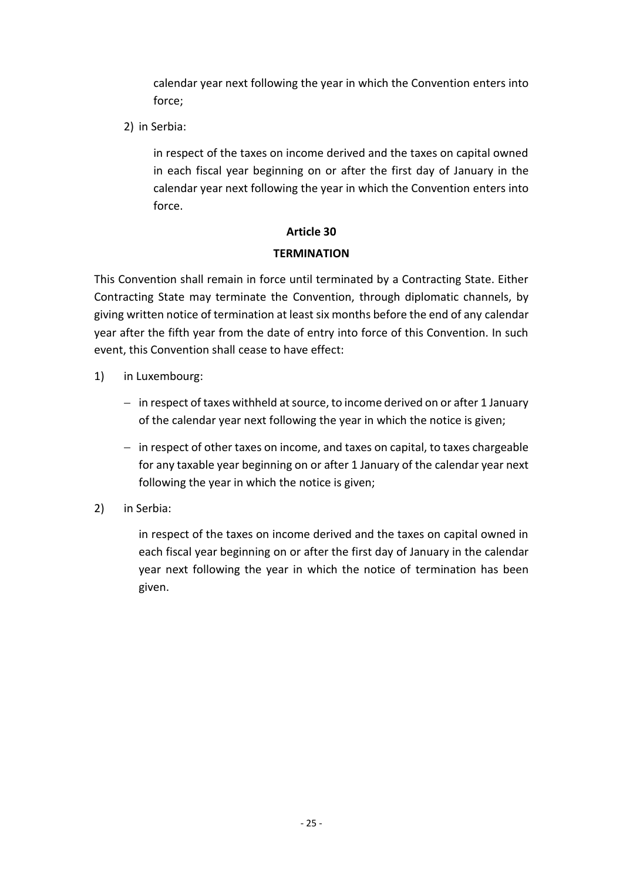calendar year next following the year in which the Convention enters into force;

2) in Serbia:

in respect of the taxes on income derived and the taxes on capital owned in each fiscal year beginning on or after the first day of January in the calendar year next following the year in which the Convention enters into force.

# **Article 30 TERMINATION**

This Convention shall remain in force until terminated by a Contracting State. Either Contracting State may terminate the Convention, through diplomatic channels, by giving written notice of termination at least six months before the end of any calendar year after the fifth year from the date of entry into force of this Convention. In such event, this Convention shall cease to have effect:

- 1) in Luxembourg:
	- in respect of taxes withheld at source, to income derived on or after 1 January of the calendar year next following the year in which the notice is given;
	- $-$  in respect of other taxes on income, and taxes on capital, to taxes chargeable for any taxable year beginning on or after 1 January of the calendar year next following the year in which the notice is given;
- 2) in Serbia:

in respect of the taxes on income derived and the taxes on capital owned in each fiscal year beginning on or after the first day of January in the calendar year next following the year in which the notice of termination has been given.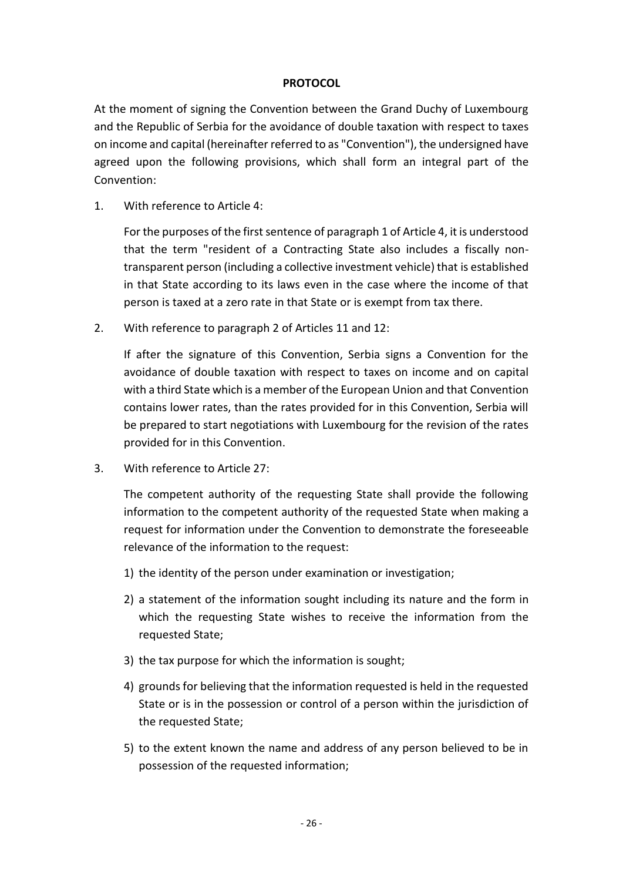#### **PROTOCOL**

At the moment of signing the Convention between the Grand Duchy of Luxembourg and the Republic of Serbia for the avoidance of double taxation with respect to taxes on income and capital (hereinafter referred to as "Convention"), the undersigned have agreed upon the following provisions, which shall form an integral part of the Convention:

1. With reference to Article 4:

For the purposes of the first sentence of paragraph 1 of Article 4, it is understood that the term "resident of a Contracting State also includes a fiscally nontransparent person (including a collective investment vehicle) that is established in that State according to its laws even in the case where the income of that person is taxed at a zero rate in that State or is exempt from tax there.

2. With reference to paragraph 2 of Articles 11 and 12:

If after the signature of this Convention, Serbia signs a Convention for the avoidance of double taxation with respect to taxes on income and on capital with a third State which is a member of the European Union and that Convention contains lower rates, than the rates provided for in this Convention, Serbia will be prepared to start negotiations with Luxembourg for the revision of the rates provided for in this Convention.

3. With reference to Article 27:

The competent authority of the requesting State shall provide the following information to the competent authority of the requested State when making a request for information under the Convention to demonstrate the foreseeable relevance of the information to the request:

- 1) the identity of the person under examination or investigation;
- 2) a statement of the information sought including its nature and the form in which the requesting State wishes to receive the information from the requested State;
- 3) the tax purpose for which the information is sought;
- 4) grounds for believing that the information requested is held in the requested State or is in the possession or control of a person within the jurisdiction of the requested State;
- 5) to the extent known the name and address of any person believed to be in possession of the requested information;